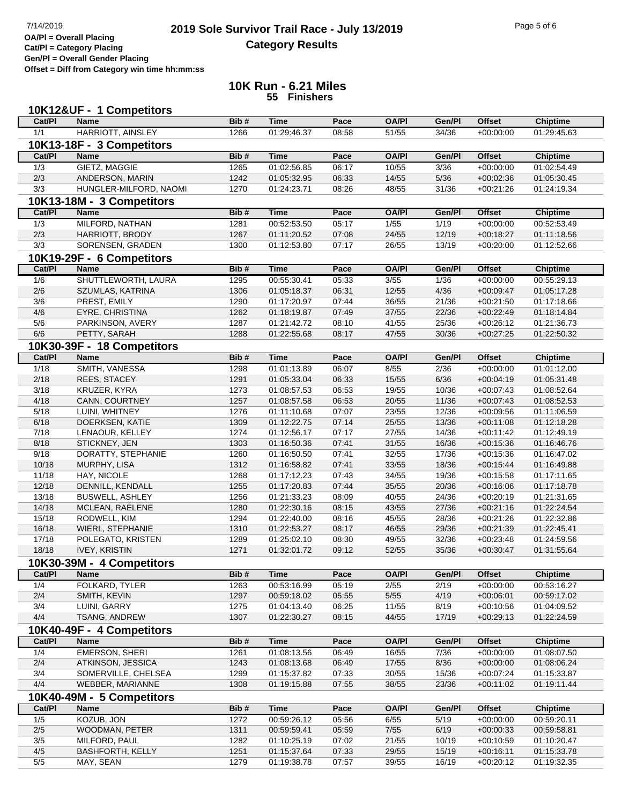## **2019 Sole Survivor Trail Race - July 13/2019** Page 5 of 6 Page 5 of 6 Page 5 of 6 **Category Results**

**Cat/Pl = Category Placing Gen/Pl = Overall Gender Placing**

**Offset = Diff from Category win time hh:mm:ss**

## **10K Run - 6.21 Miles 55 Finishers**

| 10K12&UF - 1 Competitors |                                          |              |                            |                |                      |                |                              |                                |  |
|--------------------------|------------------------------------------|--------------|----------------------------|----------------|----------------------|----------------|------------------------------|--------------------------------|--|
| Cat/PI                   | <b>Name</b>                              | Bib#         | <b>Time</b>                | Pace           | <b>OA/PI</b>         | Gen/Pl         | <b>Offset</b>                | <b>Chiptime</b>                |  |
| 1/1                      | <b>HARRIOTT, AINSLEY</b>                 | 1266         | 01:29:46.37                | 08:58          | 51/55                | 34/36          | $+00:00:00$                  | 01:29:45.63                    |  |
|                          | 10K13-18F - 3 Competitors                |              |                            |                |                      |                |                              |                                |  |
| Cat/Pl                   | <b>Name</b>                              | Bib#         | <b>Time</b>                | Pace           | <b>OA/PI</b>         | Gen/Pl         | <b>Offset</b>                | <b>Chiptime</b>                |  |
| 1/3                      | GIETZ, MAGGIE                            | 1265         | 01:02:56.85                | 06:17          | 10/55                | 3/36           | $+00:00:00$                  | 01:02:54.49                    |  |
| 2/3                      | ANDERSON, MARIN                          | 1242         | 01:05:32.95                | 06:33          | 14/55                | $5/36$         | $+00:02:36$                  | 01:05:30.45                    |  |
| 3/3                      | HUNGLER-MILFORD, NAOMI                   | 1270         | 01:24:23.71                | 08:26          | 48/55                | 31/36          | $+00:21:26$                  | 01:24:19.34                    |  |
|                          | 10K13-18M - 3 Competitors                |              |                            |                |                      |                |                              |                                |  |
| Cat/PI                   | <b>Name</b>                              | Bib#         | <b>Time</b>                | Pace           | <b>OA/PI</b>         | Gen/Pl         | <b>Offset</b>                | <b>Chiptime</b>                |  |
| 1/3                      | MILFORD, NATHAN                          | 1281         | 00:52:53.50                | 05:17          | 1/55                 | 1/19           | $+00:00:00$                  | 00:52:53.49                    |  |
| 2/3                      | HARRIOTT, BRODY                          | 1267         | 01:11:20.52                | 07:08          | 24/55                | 12/19          | $+00:18:27$                  | 01:11:18.56                    |  |
| 3/3                      | SORENSEN, GRADEN                         | 1300         | 01:12:53.80                | 07:17          | 26/55                | 13/19          | $+00:20:00$                  | 01:12:52.66                    |  |
|                          |                                          |              |                            |                |                      |                |                              |                                |  |
| Cat/PI                   | 10K19-29F - 6 Competitors<br><b>Name</b> | Bib#         | <b>Time</b>                | Pace           | <b>OA/PI</b>         | Gen/Pl         | <b>Offset</b>                |                                |  |
| 1/6                      | SHUTTLEWORTH, LAURA                      | 1295         | 00:55:30.41                | 05:33          | $\frac{3}{55}$       | 1/36           | $+00:00:00$                  | <b>Chiptime</b><br>00:55:29.13 |  |
| 2/6                      | SZUMLAS, KATRINA                         | 1306         | 01:05:18.37                | 06:31          | 12/55                | 4/36           | $+00:09:47$                  | 01:05:17.28                    |  |
|                          | PREST, EMILY                             |              |                            | 07:44          |                      |                |                              | 01:17:18.66                    |  |
| 3/6<br>4/6               | EYRE, CHRISTINA                          | 1290<br>1262 | 01:17:20.97<br>01:18:19.87 | 07:49          | 36/55<br>37/55       | 21/36<br>22/36 | $+00:21:50$<br>$+00:22:49$   | 01:18:14.84                    |  |
| 5/6                      | PARKINSON, AVERY                         | 1287         | 01:21:42.72                | 08:10          | 41/55                | 25/36          | $+00:26:12$                  | 01:21:36.73                    |  |
| 6/6                      | PETTY, SARAH                             | 1288         | 01:22:55.68                | 08:17          | 47/55                | 30/36          | $+00:27:25$                  | 01:22:50.32                    |  |
|                          |                                          |              |                            |                |                      |                |                              |                                |  |
| Cat/PI                   | 10K30-39F - 18 Competitors               |              |                            |                |                      |                |                              |                                |  |
| $\frac{1}{18}$           | <b>Name</b>                              | Bib#         | <b>Time</b>                | Pace<br>06:07  | <b>OA/PI</b><br>8/55 | Gen/Pl<br>2/36 | <b>Offset</b><br>$+00:00:00$ | <b>Chiptime</b><br>01:01:12.00 |  |
| 2/18                     | SMITH, VANESSA<br><b>REES, STACEY</b>    | 1298         | 01:01:13.89                | 06:33          |                      |                | $+00:04:19$                  |                                |  |
|                          | KRUZER, KYRA                             | 1291         | 01:05:33.04                |                | 15/55                | 6/36           |                              | 01:05:31.48                    |  |
| 3/18                     |                                          | 1273         | 01:08:57.53                | 06:53          | 19/55                | 10/36          | $+00:07:43$                  | 01:08:52.64                    |  |
| 4/18                     | CANN, COURTNEY                           | 1257         | 01:08:57.58                | 06:53          | 20/55<br>23/55       | 11/36          | $+00:07:43$                  | 01:08:52.53                    |  |
| 5/18<br>6/18             | LUINI, WHITNEY                           | 1276         | 01:11:10.68                | 07:07          |                      | 12/36          | $+00:09:56$                  | 01:11:06.59                    |  |
| 7/18                     | DOERKSEN, KATIE<br>LENAOUR, KELLEY       | 1309<br>1274 | 01:12:22.75<br>01:12:56.17 | 07:14<br>07:17 | 25/55<br>27/55       | 13/36<br>14/36 | $+00:11:08$<br>$+00:11:42$   | 01:12:18.28<br>01:12:49.19     |  |
| 8/18                     | STICKNEY, JEN                            | 1303         | 01:16:50.36                | 07:41          | 31/55                | 16/36          | $+00:15:36$                  | 01:16:46.76                    |  |
| 9/18                     | DORATTY, STEPHANIE                       | 1260         | 01:16:50.50                | 07:41          | 32/55                | 17/36          | $+00:15:36$                  | 01:16:47.02                    |  |
| 10/18                    | MURPHY, LISA                             | 1312         | 01:16:58.82                | 07:41          | 33/55                | 18/36          | $+00:15:44$                  | 01:16:49.88                    |  |
| 11/18                    | HAY, NICOLE                              | 1268         | 01:17:12.23                | 07:43          | 34/55                | 19/36          | $+00:15:58$                  | 01:17:11.65                    |  |
| 12/18                    | DENNILL, KENDALL                         | 1255         | 01:17:20.83                | 07:44          | 35/55                | 20/36          | $+00:16:06$                  | 01:17:18.78                    |  |
| 13/18                    | <b>BUSWELL, ASHLEY</b>                   | 1256         | 01:21:33.23                | 08:09          | 40/55                | 24/36          | $+00:20:19$                  | 01:21:31.65                    |  |
| 14/18                    | MCLEAN, RAELENE                          | 1280         | 01:22:30.16                | 08:15          | 43/55                | 27/36          | $+00:21:16$                  | 01:22:24.54                    |  |
| 15/18                    | RODWELL, KIM                             | 1294         | 01:22:40.00                | 08:16          | 45/55                | 28/36          | $+00:21:26$                  | 01:22:32.86                    |  |
| 16/18                    | <b>WIERL, STEPHANIE</b>                  | 1310         | 01:22:53.27                | 08:17          | 46/55                | 29/36          | $+00:21:39$                  | 01:22:45.41                    |  |
| 17/18                    | POLEGATO, KRISTEN                        | 1289         | 01:25:02.10                | 08:30          | 49/55                | 32/36          | $+00:23:48$                  | 01:24:59.56                    |  |
| 18/18                    | <b>IVEY, KRISTIN</b>                     | 1271         | 01:32:01.72                | 09:12          | 52/55                | 35/36          | $+00:30:47$                  | 01:31:55.64                    |  |
|                          | 10K30-39M - 4 Competitors                |              |                            |                |                      |                |                              |                                |  |
| Cat/PI                   | <b>Name</b>                              | Bib#         | <b>Time</b>                | Pace           | <b>OA/PI</b>         | Gen/Pl         | <b>Offset</b>                | <b>Chiptime</b>                |  |
| 1/4                      | FOLKARD, TYLER                           | 1263         | 00:53:16.99                | 05:19          | 2/55                 | 2/19           | $+00:00:00$                  | 00:53:16.27                    |  |
| 2/4                      | SMITH, KEVIN                             | 1297         | 00:59:18.02                | 05:55          | 5/55                 | 4/19           | $+00:06:01$                  | 00:59:17.02                    |  |
| 3/4                      | LUINI, GARRY                             | 1275         | 01:04:13.40                | 06:25          | 11/55                | 8/19           | $+00:10:56$                  | 01:04:09.52                    |  |
| 4/4                      | TSANG, ANDREW                            | 1307         | 01:22:30.27                | 08:15          | 44/55                | 17/19          | $+00:29:13$                  | 01:22:24.59                    |  |
|                          | 10K40-49F - 4 Competitors                |              |                            |                |                      |                |                              |                                |  |
| Cat/PI                   | <b>Name</b>                              | Bib#         | <b>Time</b>                | Pace           | <b>OA/PI</b>         | Gen/Pl         | <b>Offset</b>                | <b>Chiptime</b>                |  |
| 1/4                      | <b>EMERSON, SHERI</b>                    | 1261         | 01:08:13.56                | 06:49          | 16/55                | 7/36           | $+00:00:00$                  | 01:08:07.50                    |  |
| 2/4                      | ATKINSON, JESSICA                        | 1243         | 01:08:13.68                | 06:49          | 17/55                | 8/36           | $+00:00:00$                  | 01:08:06.24                    |  |
| 3/4                      | SOMERVILLE, CHELSEA                      | 1299         | 01:15:37.82                | 07:33          | 30/55                | 15/36          | $+00:07:24$                  | 01:15:33.87                    |  |
| 4/4                      | WEBBER, MARIANNE                         | 1308         | 01:19:15.88                | 07:55          | 38/55                | 23/36          | $+00:11:02$                  | 01:19:11.44                    |  |
|                          | 10K40-49M - 5 Competitors                |              |                            |                |                      |                |                              |                                |  |
| Cat/PI                   | <b>Name</b>                              | Bib#         | <b>Time</b>                | Pace           | <b>OA/PI</b>         | Gen/Pl         | <b>Offset</b>                | <b>Chiptime</b>                |  |
| 1/5                      | KOZUB, JON                               | 1272         | 00:59:26.12                | 05:56          | 6/55                 | 5/19           | $+00:00:00$                  | 00:59:20.11                    |  |
| $2/5$                    | WOODMAN, PETER                           | 1311         | 00:59:59.41                | 05:59          | $7/55$               | 6/19           | $+00:00:33$                  | 00:59:58.81                    |  |
| 3/5                      | MILFORD, PAUL                            | 1282         | 01:10:25.19                | 07:02          | 21/55                | 10/19          | $+00:10:59$                  | 01:10:20.47                    |  |
| 4/5                      | <b>BASHFORTH, KELLY</b>                  | 1251         | 01:15:37.64                | 07:33          | 29/55                | 15/19          | $+00:16:11$                  | 01:15:33.78                    |  |
| 5/5                      | MAY, SEAN                                | 1279         | 01:19:38.78                | 07:57          | 39/55                | 16/19          | $+00:20:12$                  | 01:19:32.35                    |  |